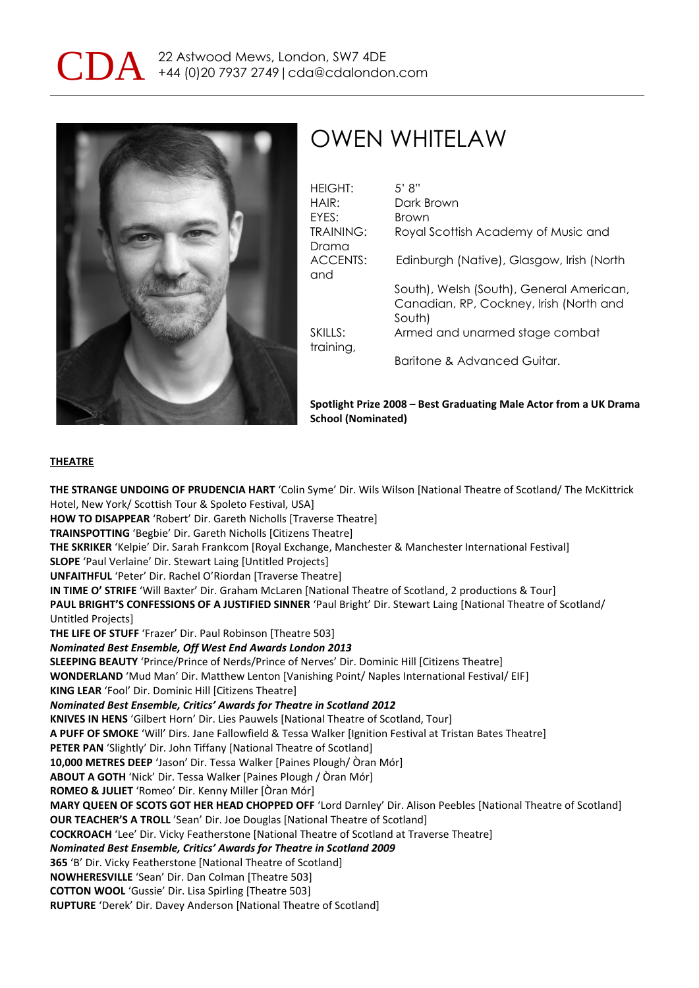

## OWEN WHITELAW

| <b>HEIGHT:</b>            | 5' 8"                                                                                         |
|---------------------------|-----------------------------------------------------------------------------------------------|
| HAIR:                     | Dark Brown                                                                                    |
| FYFS:                     | Brown                                                                                         |
| <b>TRAINING:</b><br>Drama | Royal Scottish Academy of Music and                                                           |
| ACCENTS:<br>and           | Edinburgh (Native), Glasgow, Irish (North                                                     |
|                           | South), Welsh (South), General American,<br>Canadian, RP, Cockney, Irish (North and<br>South) |
| SKILLS:<br>training,      | Armed and unarmed stage combat                                                                |
|                           | Baritone & Advanced Guitar.                                                                   |

**Spotlight Prize 2008 – Best Graduating Male Actor from a UK Drama School (Nominated)**

## **THEATRE**

**THE STRANGE UNDOING OF PRUDENCIA HART** 'Colin Syme' Dir. Wils Wilson [National Theatre of Scotland/ The McKittrick Hotel, New York/ Scottish Tour & Spoleto Festival, USA] **HOW TO DISAPPEAR** 'Robert' Dir. Gareth Nicholls [Traverse Theatre] **TRAINSPOTTING** 'Begbie' Dir. Gareth Nicholls [Citizens Theatre] **THE SKRIKER** 'Kelpie' Dir. Sarah Frankcom [Royal Exchange, Manchester & Manchester International Festival] **SLOPE** 'Paul Verlaine' Dir. Stewart Laing [Untitled Projects] **UNFAITHFUL** 'Peter' Dir. Rachel O'Riordan [Traverse Theatre] **IN TIME O' STRIFE** 'Will Baxter' Dir. Graham McLaren [National Theatre of Scotland, 2 productions & Tour] **PAUL BRIGHT'S CONFESSIONS OF A JUSTIFIED SINNER** 'Paul Bright' Dir. Stewart Laing [National Theatre of Scotland/ Untitled Projects] **THE LIFE OF STUFF** 'Frazer' Dir. Paul Robinson [Theatre 503] *Nominated Best Ensemble, Off West End Awards London 2013* **SLEEPING BEAUTY** 'Prince/Prince of Nerds/Prince of Nerves' Dir. Dominic Hill [Citizens Theatre] **WONDERLAND** 'Mud Man' Dir. Matthew Lenton [Vanishing Point/ Naples International Festival/ EIF] **KING LEAR** 'Fool' Dir. Dominic Hill [Citizens Theatre] *Nominated Best Ensemble, Critics' Awards for Theatre in Scotland 2012* **KNIVES IN HENS** 'Gilbert Horn' Dir. Lies Pauwels [National Theatre of Scotland, Tour] **A PUFF OF SMOKE** 'Will' Dirs. Jane Fallowfield & Tessa Walker [Ignition Festival at Tristan Bates Theatre] **PETER PAN** 'Slightly' Dir. John Tiffany [National Theatre of Scotland] **10,000 METRES DEEP** 'Jason' Dir. Tessa Walker [Paines Plough/ Òran Mór] **ABOUT A GOTH** 'Nick' Dir. Tessa Walker [Paines Plough / Òran Mór] **ROMEO & JULIET** 'Romeo' Dir. Kenny Miller [Òran Mór] **MARY QUEEN OF SCOTS GOT HER HEAD CHOPPED OFF** 'Lord Darnley' Dir. Alison Peebles [National Theatre of Scotland] **OUR TEACHER'S A TROLL** 'Sean' Dir. Joe Douglas [National Theatre of Scotland] **COCKROACH** 'Lee' Dir. Vicky Featherstone [National Theatre of Scotland at Traverse Theatre] *Nominated Best Ensemble, Critics' Awards for Theatre in Scotland 2009* **365** 'B' Dir. Vicky Featherstone [National Theatre of Scotland] **NOWHERESVILLE** 'Sean' Dir. Dan Colman [Theatre 503] **COTTON WOOL** 'Gussie' Dir. Lisa Spirling [Theatre 503] **RUPTURE** 'Derek' Dir. Davey Anderson [National Theatre of Scotland]